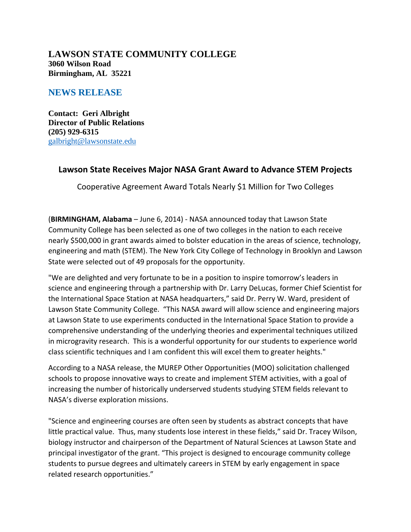### **LAWSON STATE COMMUNITY COLLEGE 3060 Wilson Road Birmingham, AL 35221**

# **NEWS RELEASE**

**Contact: Geri Albright Director of Public Relations (205) 929-6315** galbright@lawsonstate.edu

# **Lawson State Receives Major NASA Grant Award to Advance STEM Projects**

Cooperative Agreement Award Totals Nearly \$1 Million for Two Colleges

(**BIRMINGHAM, Alabama** – June 6, 2014) ‐ NASA announced today that Lawson State Community College has been selected as one of two colleges in the nation to each receive nearly \$500,000 in grant awards aimed to bolster education in the areas of science, technology, engineering and math (STEM). The New York City College of Technology in Brooklyn and Lawson State were selected out of 49 proposals for the opportunity.

"We are delighted and very fortunate to be in a position to inspire tomorrow's leaders in science and engineering through a partnership with Dr. Larry DeLucas, former Chief Scientist for the International Space Station at NASA headquarters," said Dr. Perry W. Ward, president of Lawson State Community College. "This NASA award will allow science and engineering majors at Lawson State to use experiments conducted in the International Space Station to provide a comprehensive understanding of the underlying theories and experimental techniques utilized in microgravity research. This is a wonderful opportunity for our students to experience world class scientific techniques and I am confident this will excel them to greater heights."

According to a NASA release, the MUREP Other Opportunities (MOO) solicitation challenged schools to propose innovative ways to create and implement STEM activities, with a goal of increasing the number of historically underserved students studying STEM fields relevant to NASA's diverse exploration missions.

"Science and engineering courses are often seen by students as abstract concepts that have little practical value. Thus, many students lose interest in these fields," said Dr. Tracey Wilson, biology instructor and chairperson of the Department of Natural Sciences at Lawson State and principal investigator of the grant. "This project is designed to encourage community college students to pursue degrees and ultimately careers in STEM by early engagement in space related research opportunities."